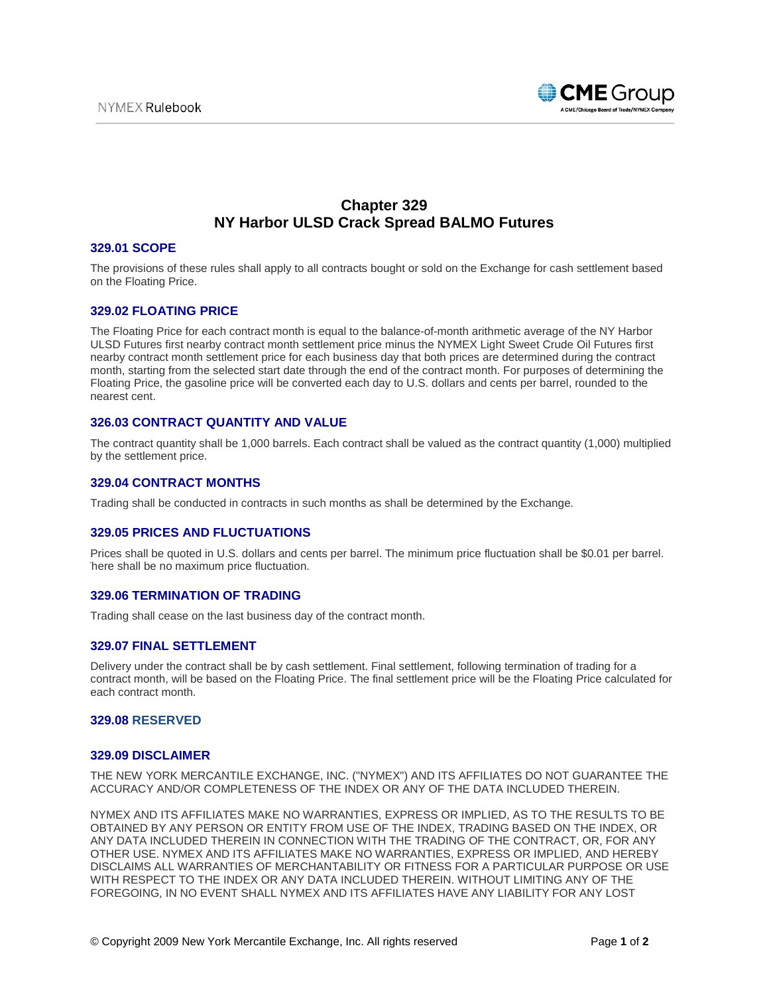

# **Chapter 329 NY Harbor ULSD Crack Spread BALMO Futures**

# **329.01 SCOPE**

The provisions of these rules shall apply to all contracts bought or sold on the Exchange for cash settlement based on the Floating Price.

# **329.02 FLOATING PRICE**

The Floating Price for each contract month is equal to the balance-of-month arithmetic average of the NY Harbor ULSD Futures first nearby contract month settlement price minus the NYMEX Light Sweet Crude Oil Futures first nearby contract month settlement price for each business day that both prices are determined during the contract month, starting from the selected start date through the end of the contract month. For purposes of determining the Floating Price, the gasoline price will be converted each day to U.S. dollars and cents per barrel, rounded to the nearest cent.

# **326.03 CONTRACT QUANTITY AND VALUE**

The contract quantity shall be 1,000 barrels. Each contract shall be valued as the contract quantity (1,000) multiplied by the settlement price.

#### **329.04 CONTRACT MONTHS**

Trading shall be conducted in contracts in such months as shall be determined by the Exchange.

#### **329.05 PRICES AND FLUCTUATIONS**

Prices shall be quoted in U.S. dollars and cents per barrel. The minimum price fluctuation shall be \$0.01 per barrel. here shall be no maximum price fluctuation.

## **329.06 TERMINATION OF TRADING**

Trading shall cease on the last business day of the contract month.

# **329.07 FINAL SETTLEMENT**

Delivery under the contract shall be by cash settlement. Final settlement, following termination of trading for a contract month, will be based on the Floating Price. The final settlement price will be the Floating Price calculated for each contract month.

#### **329.08 RESERVED**

#### **329.09 DISCLAIMER**

THE NEW YORK MERCANTILE EXCHANGE, INC. ("NYMEX") AND ITS AFFILIATES DO NOT GUARANTEE THE ACCURACY AND/OR COMPLETENESS OF THE INDEX OR ANY OF THE DATA INCLUDED THEREIN.

NYMEX AND ITS AFFILIATES MAKE NO WARRANTIES, EXPRESS OR IMPLIED, AS TO THE RESULTS TO BE OBTAINED BY ANY PERSON OR ENTITY FROM USE OF THE INDEX, TRADING BASED ON THE INDEX, OR ANY DATA INCLUDED THEREIN IN CONNECTION WITH THE TRADING OF THE CONTRACT, OR, FOR ANY OTHER USE. NYMEX AND ITS AFFILIATES MAKE NO WARRANTIES, EXPRESS OR IMPLIED, AND HEREBY DISCLAIMS ALL WARRANTIES OF MERCHANTABILITY OR FITNESS FOR A PARTICULAR PURPOSE OR USE WITH RESPECT TO THE INDEX OR ANY DATA INCLUDED THEREIN. WITHOUT LIMITING ANY OF THE FOREGOING, IN NO EVENT SHALL NYMEX AND ITS AFFILIATES HAVE ANY LIABILITY FOR ANY LOST